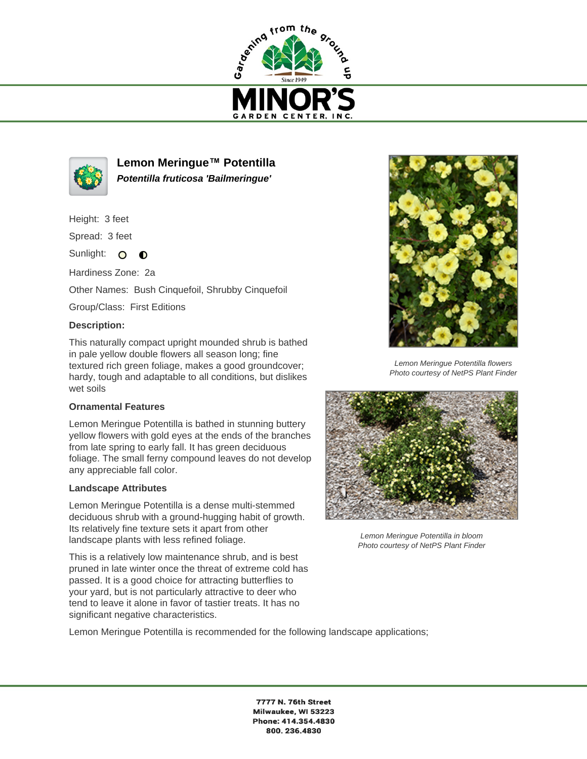



**Lemon Meringue™ Potentilla Potentilla fruticosa 'Bailmeringue'**

Height: 3 feet

Spread: 3 feet

Sunlight: O  $\bullet$ 

Hardiness Zone: 2a

Other Names: Bush Cinquefoil, Shrubby Cinquefoil

Group/Class: First Editions

## **Description:**

This naturally compact upright mounded shrub is bathed in pale yellow double flowers all season long; fine textured rich green foliage, makes a good groundcover; hardy, tough and adaptable to all conditions, but dislikes wet soils

## **Ornamental Features**

Lemon Meringue Potentilla is bathed in stunning buttery yellow flowers with gold eyes at the ends of the branches from late spring to early fall. It has green deciduous foliage. The small ferny compound leaves do not develop any appreciable fall color.

## **Landscape Attributes**

Lemon Meringue Potentilla is a dense multi-stemmed deciduous shrub with a ground-hugging habit of growth. Its relatively fine texture sets it apart from other landscape plants with less refined foliage.

This is a relatively low maintenance shrub, and is best pruned in late winter once the threat of extreme cold has passed. It is a good choice for attracting butterflies to your yard, but is not particularly attractive to deer who tend to leave it alone in favor of tastier treats. It has no significant negative characteristics.





Lemon Meringue Potentilla flowers Photo courtesy of NetPS Plant Finder



Lemon Meringue Potentilla in bloom Photo courtesy of NetPS Plant Finder

7777 N. 76th Street Milwaukee, WI 53223 Phone: 414.354.4830 800.236.4830